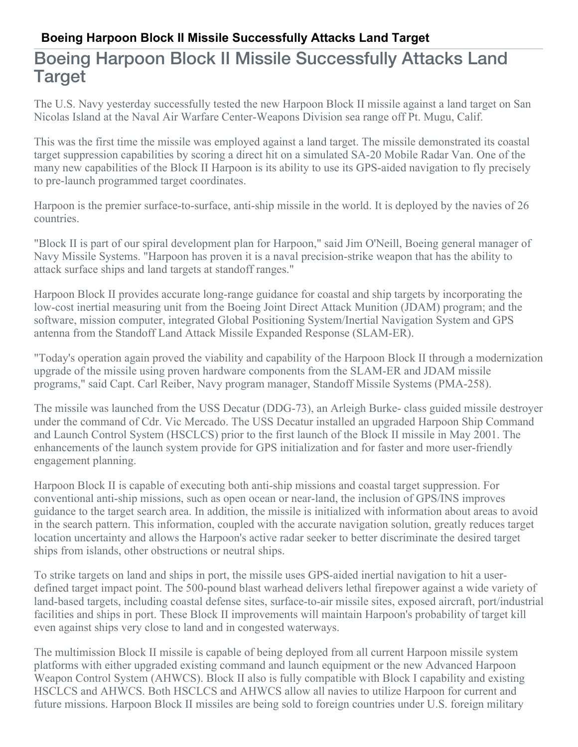## **Boeing Harpoon Block II Missile Successfully Attacks Land Target**

## Boeing Harpoon Block II Missile Successfully Attacks Land Target

The U.S. Navy yesterday successfully tested the new Harpoon Block II missile against a land target on San Nicolas Island at the Naval Air Warfare Center-Weapons Division sea range off Pt. Mugu, Calif.

This was the first time the missile was employed against a land target. The missile demonstrated its coastal target suppression capabilities by scoring a direct hit on a simulated SA-20 Mobile Radar Van. One of the many new capabilities of the Block II Harpoon is its ability to use its GPS-aided navigation to fly precisely to pre-launch programmed target coordinates.

Harpoon is the premier surface-to-surface, anti-ship missile in the world. It is deployed by the navies of 26 countries.

"Block II is part of our spiral development plan for Harpoon," said Jim O'Neill, Boeing general manager of Navy Missile Systems. "Harpoon has proven it is a naval precision-strike weapon that has the ability to attack surface ships and land targets at standoff ranges."

Harpoon Block II provides accurate long-range guidance for coastal and ship targets by incorporating the low-cost inertial measuring unit from the Boeing Joint Direct Attack Munition (JDAM) program; and the software, mission computer, integrated Global Positioning System/Inertial Navigation System and GPS antenna from the Standoff Land Attack Missile Expanded Response (SLAM-ER).

"Today's operation again proved the viability and capability of the Harpoon Block II through a modernization upgrade of the missile using proven hardware components from the SLAM-ER and JDAM missile programs," said Capt. Carl Reiber, Navy program manager, Standoff Missile Systems (PMA-258).

The missile was launched from the USS Decatur (DDG-73), an Arleigh Burke- class guided missile destroyer under the command of Cdr. Vic Mercado. The USS Decatur installed an upgraded Harpoon Ship Command and Launch Control System (HSCLCS) prior to the first launch of the Block II missile in May 2001. The enhancements of the launch system provide for GPS initialization and for faster and more user-friendly engagement planning.

Harpoon Block II is capable of executing both anti-ship missions and coastal target suppression. For conventional anti-ship missions, such as open ocean or near-land, the inclusion of GPS/INS improves guidance to the target search area. In addition, the missile is initialized with information about areas to avoid in the search pattern. This information, coupled with the accurate navigation solution, greatly reduces target location uncertainty and allows the Harpoon's active radar seeker to better discriminate the desired target ships from islands, other obstructions or neutral ships.

To strike targets on land and ships in port, the missile uses GPS-aided inertial navigation to hit a userdefined target impact point. The 500-pound blast warhead delivers lethal firepower against a wide variety of land-based targets, including coastal defense sites, surface-to-air missile sites, exposed aircraft, port/industrial facilities and ships in port. These Block II improvements will maintain Harpoon's probability of target kill even against ships very close to land and in congested waterways.

The multimission Block II missile is capable of being deployed from all current Harpoon missile system platforms with either upgraded existing command and launch equipment or the new Advanced Harpoon Weapon Control System (AHWCS). Block II also is fully compatible with Block I capability and existing HSCLCS and AHWCS. Both HSCLCS and AHWCS allow all navies to utilize Harpoon for current and future missions. Harpoon Block II missiles are being sold to foreign countries under U.S. foreign military